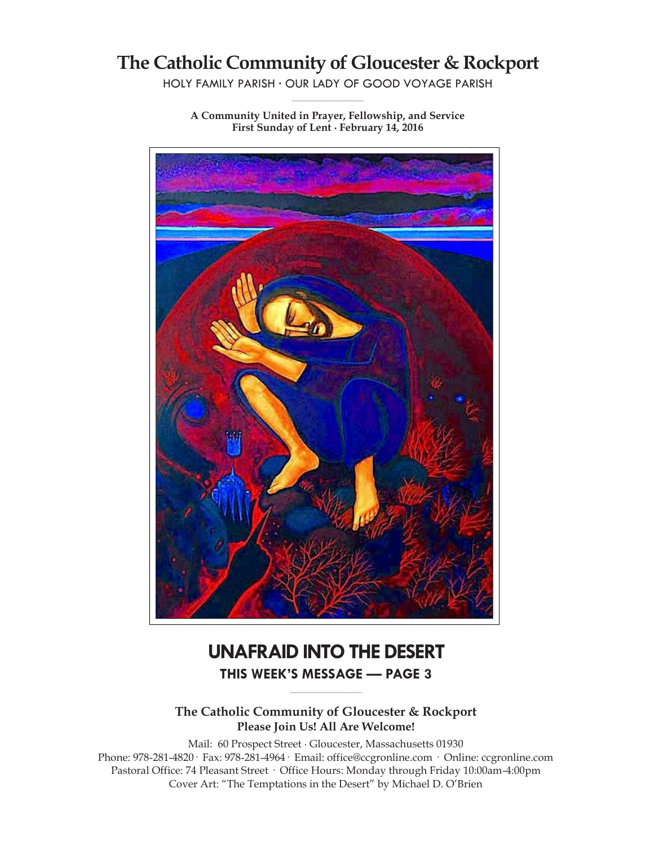# **The Catholic Community of Gloucester & Rockport**

HOLY FAMILY PARISH ∙ OUR LADY OF GOOD VOYAGE PARISH **\_\_\_\_\_\_\_\_\_\_\_\_\_\_\_\_\_\_\_\_\_\_\_\_\_\_\_\_\_**

**A Community United in Prayer, Fellowship, and Service First Sunday of Lent ∙ February 14, 2016**

# **UNAFRAID INTO THE DESERT THIS WEEK'S MESSAGE — PAGE 3**

**The Catholic Community of Gloucester & Rockport Please Join Us! All Are Welcome!**

**\_\_\_\_\_\_\_\_\_\_\_\_\_\_\_\_\_\_\_\_\_\_\_\_\_\_\_\_\_**

Mail: 60 Prospect Street ∙ Gloucester, Massachusetts 01930 Phone: 978-281-4820· Fax: 978-281-4964· Email: office@ccgronline.com · Online: ccgronline.com Pastoral Office: 74 Pleasant Street · Office Hours: Monday through Friday 10:00am-4:00pm Cover Art: "The Temptations in the Desert" by Michael D. O'Brien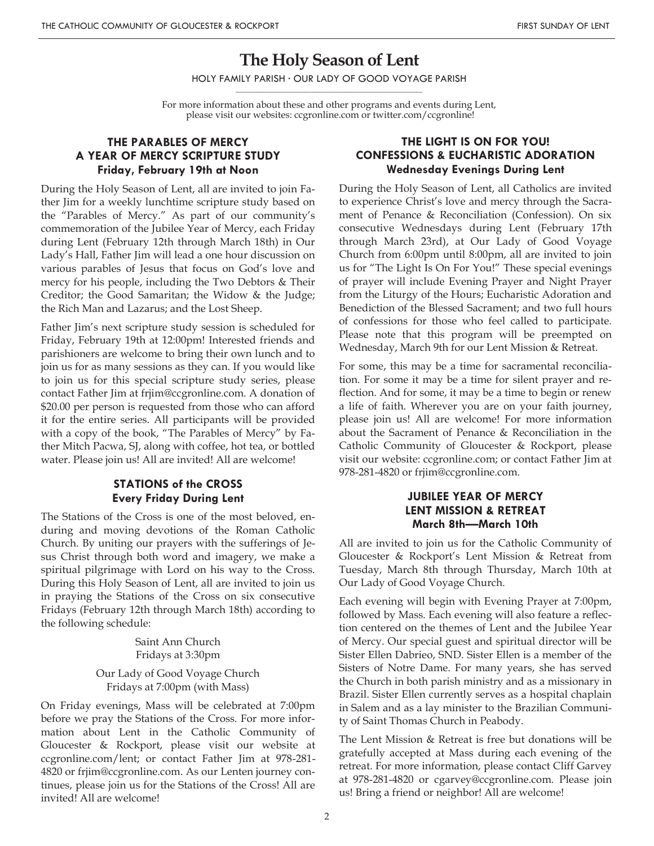## **The Holy Season of Lent**

HOLY FAMILY PARISH ∙ OUR LADY OF GOOD VOYAGE PARISH **\_\_\_\_\_\_\_\_\_\_\_\_\_\_\_\_\_\_\_\_\_\_\_\_\_\_\_\_\_\_\_\_\_\_\_\_\_\_\_\_\_\_\_\_\_\_\_\_\_\_**

For more information about these and other programs and events during Lent, please visit our websites: ccgronline.com or twitter.com/ccgronline!

#### **THE PARABLES OF MERCY A YEAR OF MERCY SCRIPTURE STUDY Friday, February 19th at Noon**

During the Holy Season of Lent, all are invited to join Father Jim for a weekly lunchtime scripture study based on the "Parables of Mercy." As part of our community's commemoration of the Jubilee Year of Mercy, each Friday during Lent (February 12th through March 18th) in Our Lady's Hall, Father Jim will lead a one hour discussion on various parables of Jesus that focus on God's love and mercy for his people, including the Two Debtors & Their Creditor; the Good Samaritan; the Widow & the Judge; the Rich Man and Lazarus; and the Lost Sheep.

Father Jim's next scripture study session is scheduled for Friday, February 19th at 12:00pm! Interested friends and parishioners are welcome to bring their own lunch and to join us for as many sessions as they can. If you would like to join us for this special scripture study series, please contact Father Jim at frjim@ccgronline.com. A donation of \$20.00 per person is requested from those who can afford it for the entire series. All participants will be provided with a copy of the book, "The Parables of Mercy" by Father Mitch Pacwa, SJ, along with coffee, hot tea, or bottled water. Please join us! All are invited! All are welcome!

## **STATIONS of the CROSS Every Friday During Lent**

The Stations of the Cross is one of the most beloved, enduring and moving devotions of the Roman Catholic Church. By uniting our prayers with the sufferings of Jesus Christ through both word and imagery, we make a spiritual pilgrimage with Lord on his way to the Cross. During this Holy Season of Lent, all are invited to join us in praying the Stations of the Cross on six consecutive Fridays (February 12th through March 18th) according to the following schedule:

> Saint Ann Church Fridays at 3:30pm Our Lady of Good Voyage Church Fridays at 7:00pm (with Mass)

On Friday evenings, Mass will be celebrated at 7:00pm before we pray the Stations of the Cross. For more information about Lent in the Catholic Community of Gloucester & Rockport, please visit our website at ccgronline.com/lent; or contact Father Jim at 978-281- 4820 or frjim@ccgronline.com. As our Lenten journey continues, please join us for the Stations of the Cross! All are invited! All are welcome!

#### **THE LIGHT IS ON FOR YOU! CONFESSIONS & EUCHARISTIC ADORATION Wednesday Evenings During Lent**

During the Holy Season of Lent, all Catholics are invited to experience Christ's love and mercy through the Sacrament of Penance & Reconciliation (Confession). On six consecutive Wednesdays during Lent (February 17th through March 23rd), at Our Lady of Good Voyage Church from 6:00pm until 8:00pm, all are invited to join us for "The Light Is On For You!" These special evenings of prayer will include Evening Prayer and Night Prayer from the Liturgy of the Hours; Eucharistic Adoration and Benediction of the Blessed Sacrament; and two full hours of confessions for those who feel called to participate. Please note that this program will be preempted on Wednesday, March 9th for our Lent Mission & Retreat.

For some, this may be a time for sacramental reconciliation. For some it may be a time for silent prayer and reflection. And for some, it may be a time to begin or renew a life of faith. Wherever you are on your faith journey, please join us! All are welcome! For more information about the Sacrament of Penance & Reconciliation in the Catholic Community of Gloucester & Rockport, please visit our website: ccgronline.com; or contact Father Jim at 978-281-4820 or frjim@ccgronline.com.

#### **JUBILEE YEAR OF MERCY LENT MISSION & RETREAT March 8th—March 10th**

All are invited to join us for the Catholic Community of Gloucester & Rockport's Lent Mission & Retreat from Tuesday, March 8th through Thursday, March 10th at Our Lady of Good Voyage Church.

Each evening will begin with Evening Prayer at 7:00pm, followed by Mass. Each evening will also feature a reflection centered on the themes of Lent and the Jubilee Year of Mercy. Our special guest and spiritual director will be Sister Ellen Dabrieo, SND. Sister Ellen is a member of the Sisters of Notre Dame. For many years, she has served the Church in both parish ministry and as a missionary in Brazil. Sister Ellen currently serves as a hospital chaplain in Salem and as a lay minister to the Brazilian Community of Saint Thomas Church in Peabody.

The Lent Mission & Retreat is free but donations will be gratefully accepted at Mass during each evening of the retreat. For more information, please contact Cliff Garvey at 978-281-4820 or cgarvey@ccgronline.com. Please join us! Bring a friend or neighbor! All are welcome!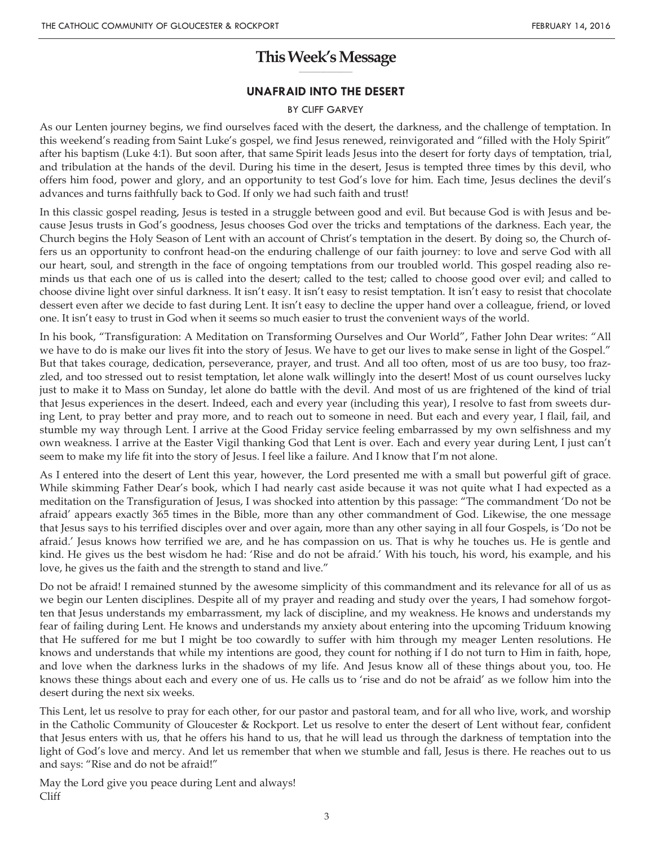#### **This Week's Message \_\_\_\_\_\_\_\_\_\_\_\_\_\_\_\_\_\_\_\_**

#### **UNAFRAID INTO THE DESERT**

#### BY CLIFF GARVEY

As our Lenten journey begins, we find ourselves faced with the desert, the darkness, and the challenge of temptation. In this weekend's reading from Saint Luke's gospel, we find Jesus renewed, reinvigorated and "filled with the Holy Spirit" after his baptism (Luke 4:1). But soon after, that same Spirit leads Jesus into the desert for forty days of temptation, trial, and tribulation at the hands of the devil. During his time in the desert, Jesus is tempted three times by this devil, who offers him food, power and glory, and an opportunity to test God's love for him. Each time, Jesus declines the devil's advances and turns faithfully back to God. If only we had such faith and trust!

In this classic gospel reading, Jesus is tested in a struggle between good and evil. But because God is with Jesus and because Jesus trusts in God's goodness, Jesus chooses God over the tricks and temptations of the darkness. Each year, the Church begins the Holy Season of Lent with an account of Christ's temptation in the desert. By doing so, the Church offers us an opportunity to confront head-on the enduring challenge of our faith journey: to love and serve God with all our heart, soul, and strength in the face of ongoing temptations from our troubled world. This gospel reading also reminds us that each one of us is called into the desert; called to the test; called to choose good over evil; and called to choose divine light over sinful darkness. It isn't easy. It isn't easy to resist temptation. It isn't easy to resist that chocolate dessert even after we decide to fast during Lent. It isn't easy to decline the upper hand over a colleague, friend, or loved one. It isn't easy to trust in God when it seems so much easier to trust the convenient ways of the world.

In his book, "Transfiguration: A Meditation on Transforming Ourselves and Our World", Father John Dear writes: "All we have to do is make our lives fit into the story of Jesus. We have to get our lives to make sense in light of the Gospel." But that takes courage, dedication, perseverance, prayer, and trust. And all too often, most of us are too busy, too frazzled, and too stressed out to resist temptation, let alone walk willingly into the desert! Most of us count ourselves lucky just to make it to Mass on Sunday, let alone do battle with the devil. And most of us are frightened of the kind of trial that Jesus experiences in the desert. Indeed, each and every year (including this year), I resolve to fast from sweets during Lent, to pray better and pray more, and to reach out to someone in need. But each and every year, I flail, fail, and stumble my way through Lent. I arrive at the Good Friday service feeling embarrassed by my own selfishness and my own weakness. I arrive at the Easter Vigil thanking God that Lent is over. Each and every year during Lent, I just can't seem to make my life fit into the story of Jesus. I feel like a failure. And I know that I'm not alone.

As I entered into the desert of Lent this year, however, the Lord presented me with a small but powerful gift of grace. While skimming Father Dear's book, which I had nearly cast aside because it was not quite what I had expected as a meditation on the Transfiguration of Jesus, I was shocked into attention by this passage: "The commandment 'Do not be afraid' appears exactly 365 times in the Bible, more than any other commandment of God. Likewise, the one message that Jesus says to his terrified disciples over and over again, more than any other saying in all four Gospels, is 'Do not be afraid.' Jesus knows how terrified we are, and he has compassion on us. That is why he touches us. He is gentle and kind. He gives us the best wisdom he had: 'Rise and do not be afraid.' With his touch, his word, his example, and his love, he gives us the faith and the strength to stand and live."

Do not be afraid! I remained stunned by the awesome simplicity of this commandment and its relevance for all of us as we begin our Lenten disciplines. Despite all of my prayer and reading and study over the years, I had somehow forgotten that Jesus understands my embarrassment, my lack of discipline, and my weakness. He knows and understands my fear of failing during Lent. He knows and understands my anxiety about entering into the upcoming Triduum knowing that He suffered for me but I might be too cowardly to suffer with him through my meager Lenten resolutions. He knows and understands that while my intentions are good, they count for nothing if I do not turn to Him in faith, hope, and love when the darkness lurks in the shadows of my life. And Jesus know all of these things about you, too. He knows these things about each and every one of us. He calls us to 'rise and do not be afraid' as we follow him into the desert during the next six weeks.

This Lent, let us resolve to pray for each other, for our pastor and pastoral team, and for all who live, work, and worship in the Catholic Community of Gloucester & Rockport. Let us resolve to enter the desert of Lent without fear, confident that Jesus enters with us, that he offers his hand to us, that he will lead us through the darkness of temptation into the light of God's love and mercy. And let us remember that when we stumble and fall, Jesus is there. He reaches out to us and says: "Rise and do not be afraid!"

May the Lord give you peace during Lent and always! Cliff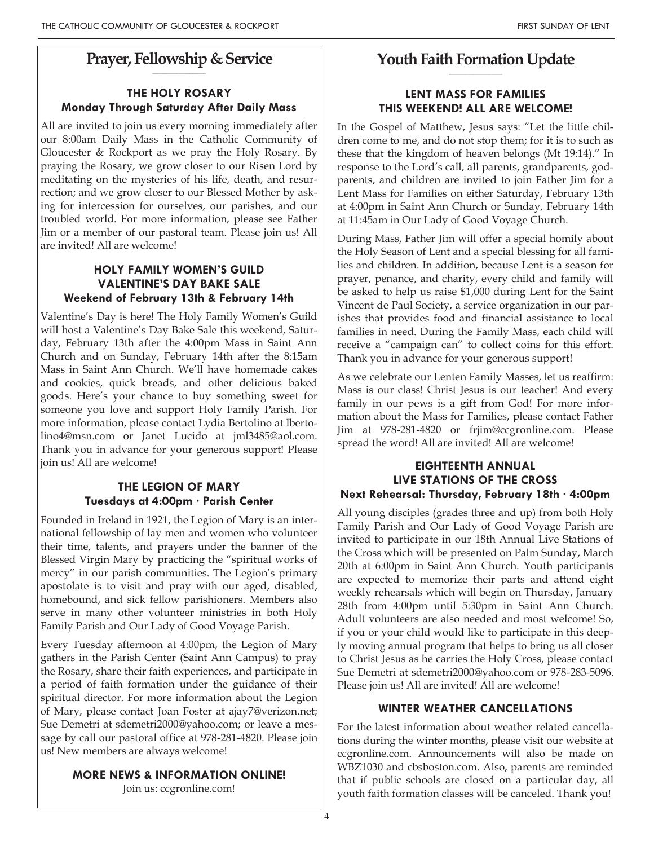#### **Prayer, Fellowship & Service \_\_\_\_\_\_\_\_\_\_\_\_\_\_\_\_\_\_\_\_**

## **THE HOLY ROSARY Monday Through Saturday After Daily Mass**

All are invited to join us every morning immediately after our 8:00am Daily Mass in the Catholic Community of Gloucester & Rockport as we pray the Holy Rosary. By praying the Rosary, we grow closer to our Risen Lord by meditating on the mysteries of his life, death, and resurrection; and we grow closer to our Blessed Mother by asking for intercession for ourselves, our parishes, and our troubled world. For more information, please see Father Jim or a member of our pastoral team. Please join us! All are invited! All are welcome!

## **HOLY FAMILY WOMEN'S GUILD VALENTINE'S DAY BAKE SALE Weekend of February 13th & February 14th**

Valentine's Day is here! The Holy Family Women's Guild will host a Valentine's Day Bake Sale this weekend, Saturday, February 13th after the 4:00pm Mass in Saint Ann Church and on Sunday, February 14th after the 8:15am Mass in Saint Ann Church. We'll have homemade cakes and cookies, quick breads, and other delicious baked goods. Here's your chance to buy something sweet for someone you love and support Holy Family Parish. For more information, please contact Lydia Bertolino at lbertolino4@msn.com or Janet Lucido at jml3485@aol.com. Thank you in advance for your generous support! Please join us! All are welcome!

## **THE LEGION OF MARY Tuesdays at 4:00pm · Parish Center**

Founded in Ireland in 1921, the Legion of Mary is an international fellowship of lay men and women who volunteer their time, talents, and prayers under the banner of the Blessed Virgin Mary by practicing the "spiritual works of mercy" in our parish communities. The Legion's primary apostolate is to visit and pray with our aged, disabled, homebound, and sick fellow parishioners. Members also serve in many other volunteer ministries in both Holy Family Parish and Our Lady of Good Voyage Parish.

Every Tuesday afternoon at 4:00pm, the Legion of Mary gathers in the Parish Center (Saint Ann Campus) to pray the Rosary, share their faith experiences, and participate in a period of faith formation under the guidance of their spiritual director. For more information about the Legion of Mary, please contact Joan Foster at ajay7@verizon.net; Sue Demetri at sdemetri2000@yahoo.com; or leave a message by call our pastoral office at 978-281-4820. Please join us! New members are always welcome!

## **MORE NEWS & INFORMATION ONLINE!**

Join us: ccgronline.com!

#### **Youth Faith Formation Update \_\_\_\_\_\_\_\_\_\_\_\_\_\_\_\_\_\_\_\_**

## **LENT MASS FOR FAMILIES THIS WEEKEND! ALL ARE WELCOME!**

In the Gospel of Matthew, Jesus says: "Let the little children come to me, and do not stop them; for it is to such as these that the kingdom of heaven belongs (Mt 19:14)." In response to the Lord's call, all parents, grandparents, godparents, and children are invited to join Father Jim for a Lent Mass for Families on either Saturday, February 13th at 4:00pm in Saint Ann Church or Sunday, February 14th at 11:45am in Our Lady of Good Voyage Church.

During Mass, Father Jim will offer a special homily about the Holy Season of Lent and a special blessing for all families and children. In addition, because Lent is a season for prayer, penance, and charity, every child and family will be asked to help us raise \$1,000 during Lent for the Saint Vincent de Paul Society, a service organization in our parishes that provides food and financial assistance to local families in need. During the Family Mass, each child will receive a "campaign can" to collect coins for this effort. Thank you in advance for your generous support!

As we celebrate our Lenten Family Masses, let us reaffirm: Mass is our class! Christ Jesus is our teacher! And every family in our pews is a gift from God! For more information about the Mass for Families, please contact Father Jim at 978-281-4820 or frjim@ccgronline.com. Please spread the word! All are invited! All are welcome!

#### **EIGHTEENTH ANNUAL LIVE STATIONS OF THE CROSS Next Rehearsal: Thursday, February 18th · 4:00pm**

All young disciples (grades three and up) from both Holy Family Parish and Our Lady of Good Voyage Parish are invited to participate in our 18th Annual Live Stations of the Cross which will be presented on Palm Sunday, March 20th at 6:00pm in Saint Ann Church. Youth participants are expected to memorize their parts and attend eight weekly rehearsals which will begin on Thursday, January 28th from 4:00pm until 5:30pm in Saint Ann Church. Adult volunteers are also needed and most welcome! So, if you or your child would like to participate in this deeply moving annual program that helps to bring us all closer to Christ Jesus as he carries the Holy Cross, please contact Sue Demetri at sdemetri2000@yahoo.com or 978-283-5096. Please join us! All are invited! All are welcome!

## **WINTER WEATHER CANCELLATIONS**

For the latest information about weather related cancellations during the winter months, please visit our website at ccgronline.com. Announcements will also be made on WBZ1030 and cbsboston.com. Also, parents are reminded that if public schools are closed on a particular day, all youth faith formation classes will be canceled. Thank you!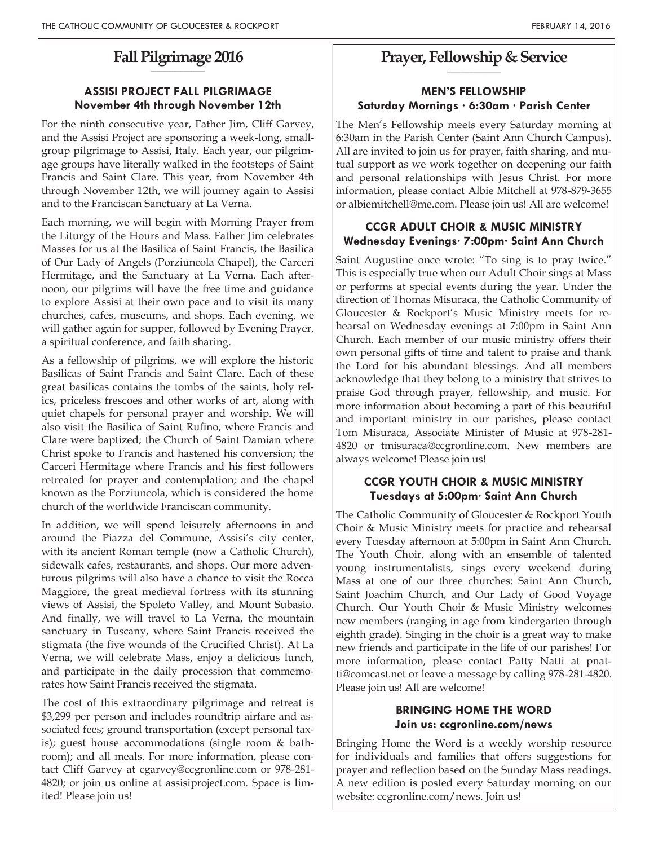#### **Fall Pilgrimage 2016 \_\_\_\_\_\_\_\_\_\_\_\_\_\_\_\_\_\_\_\_**

## **ASSISI PROJECT FALL PILGRIMAGE November 4th through November 12th**

For the ninth consecutive year, Father Jim, Cliff Garvey, and the Assisi Project are sponsoring a week-long, smallgroup pilgrimage to Assisi, Italy. Each year, our pilgrimage groups have literally walked in the footsteps of Saint Francis and Saint Clare. This year, from November 4th through November 12th, we will journey again to Assisi and to the Franciscan Sanctuary at La Verna.

Each morning, we will begin with Morning Prayer from the Liturgy of the Hours and Mass. Father Jim celebrates Masses for us at the Basilica of Saint Francis, the Basilica of Our Lady of Angels (Porziuncola Chapel), the Carceri Hermitage, and the Sanctuary at La Verna. Each afternoon, our pilgrims will have the free time and guidance to explore Assisi at their own pace and to visit its many churches, cafes, museums, and shops. Each evening, we will gather again for supper, followed by Evening Prayer, a spiritual conference, and faith sharing.

As a fellowship of pilgrims, we will explore the historic Basilicas of Saint Francis and Saint Clare. Each of these great basilicas contains the tombs of the saints, holy relics, priceless frescoes and other works of art, along with quiet chapels for personal prayer and worship. We will also visit the Basilica of Saint Rufino, where Francis and Clare were baptized; the Church of Saint Damian where Christ spoke to Francis and hastened his conversion; the Carceri Hermitage where Francis and his first followers retreated for prayer and contemplation; and the chapel known as the Porziuncola, which is considered the home church of the worldwide Franciscan community.

In addition, we will spend leisurely afternoons in and around the Piazza del Commune, Assisi's city center, with its ancient Roman temple (now a Catholic Church), sidewalk cafes, restaurants, and shops. Our more adventurous pilgrims will also have a chance to visit the Rocca Maggiore, the great medieval fortress with its stunning views of Assisi, the Spoleto Valley, and Mount Subasio. And finally, we will travel to La Verna, the mountain sanctuary in Tuscany, where Saint Francis received the stigmata (the five wounds of the Crucified Christ). At La Verna, we will celebrate Mass, enjoy a delicious lunch, and participate in the daily procession that commemorates how Saint Francis received the stigmata.

The cost of this extraordinary pilgrimage and retreat is \$3,299 per person and includes roundtrip airfare and associated fees; ground transportation (except personal taxis); guest house accommodations (single room & bathroom); and all meals. For more information, please contact Cliff Garvey at cgarvey@ccgronline.com or 978-281- 4820; or join us online at assisiproject.com. Space is limited! Please join us!

#### **Prayer, Fellowship & Service \_\_\_\_\_\_\_\_\_\_\_\_\_\_\_\_\_\_\_\_**

## **MEN'S FELLOWSHIP Saturday Mornings · 6:30am · Parish Center**

The Men's Fellowship meets every Saturday morning at 6:30am in the Parish Center (Saint Ann Church Campus). All are invited to join us for prayer, faith sharing, and mutual support as we work together on deepening our faith and personal relationships with Jesus Christ. For more information, please contact Albie Mitchell at 978-879-3655 or albiemitchell@me.com. Please join us! All are welcome!

#### **CCGR ADULT CHOIR & MUSIC MINISTRY Wednesday Evenings· 7:00pm· Saint Ann Church**

Saint Augustine once wrote: "To sing is to pray twice." This is especially true when our Adult Choir sings at Mass or performs at special events during the year. Under the direction of Thomas Misuraca, the Catholic Community of Gloucester & Rockport's Music Ministry meets for rehearsal on Wednesday evenings at 7:00pm in Saint Ann Church. Each member of our music ministry offers their own personal gifts of time and talent to praise and thank the Lord for his abundant blessings. And all members acknowledge that they belong to a ministry that strives to praise God through prayer, fellowship, and music. For more information about becoming a part of this beautiful and important ministry in our parishes, please contact Tom Misuraca, Associate Minister of Music at 978-281- 4820 or tmisuraca@ccgronline.com. New members are always welcome! Please join us!

#### **CCGR YOUTH CHOIR & MUSIC MINISTRY Tuesdays at 5:00pm· Saint Ann Church**

The Catholic Community of Gloucester & Rockport Youth Choir & Music Ministry meets for practice and rehearsal every Tuesday afternoon at 5:00pm in Saint Ann Church. The Youth Choir, along with an ensemble of talented young instrumentalists, sings every weekend during Mass at one of our three churches: Saint Ann Church, Saint Joachim Church, and Our Lady of Good Voyage Church. Our Youth Choir & Music Ministry welcomes new members (ranging in age from kindergarten through eighth grade). Singing in the choir is a great way to make new friends and participate in the life of our parishes! For more information, please contact Patty Natti at pnatti@comcast.net or leave a message by calling 978-281-4820. Please join us! All are welcome!

#### **BRINGING HOME THE WORD Join us: ccgronline.com/news**

Bringing Home the Word is a weekly worship resource for individuals and families that offers suggestions for prayer and reflection based on the Sunday Mass readings. A new edition is posted every Saturday morning on our website: ccgronline.com/news. Join us!